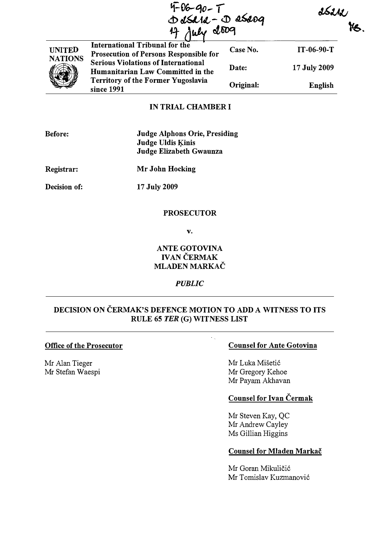|                                 |                                                                                 | 4-06-90-T<br>DdSe1e-DeSe09<br>4 July 2009 |              | ssew |  |
|---------------------------------|---------------------------------------------------------------------------------|-------------------------------------------|--------------|------|--|
|                                 |                                                                                 |                                           |              | te.  |  |
| <b>UNITED</b><br><b>NATIONS</b> | International Tribunal for the<br>Prosecution of Persons Responsible for        | Case No.                                  | $IT-06-90-T$ |      |  |
|                                 | <b>Serious Violations of International</b><br>Humanitarian Law Committed in the | Date:                                     | 17 July 2009 |      |  |
|                                 | <b>Territory of the Former Yugoslavia</b><br>since 1991                         | Original:                                 | English      |      |  |

### IN TRIAL CHAMBER I

| <b>Before:</b> | Judge Alphons Orie, Presiding |
|----------------|-------------------------------|
|                | Judge Uldis Kinis             |
|                | Judge Elizabeth Gwaunza       |

Registrar: Mr John Hocking

Decision of:

17 July 2009

## **PROSECUTOR**

v.

## ANTE GOTOVINA IVAN ČERMAK MLADEN MARKAC

#### PUBLIC

# DECISION ON ČERMAK'S DEFENCE MOTION TO ADD A WITNESS TO ITS RULE 65 TER (G) WITNESS LIST

 $\mathcal{L}_{\rm{eff}}$ 

# Office of the Prosecutor

Mr Alan Tieger Mr Stefan Waespi

## Counsel for Ante Gotovina

Mr Luka Mišetić Mr Gregory Kehoe Mr Payam Akhavan

# Counsel for Ivan Cermak

Mr Steven Kay, QC Mr Andrew Cayley Ms Gillian Higgins

# Counsel for Mladen Markac

Mr Goran Mikuličić Mr Tomislav Kuzmanović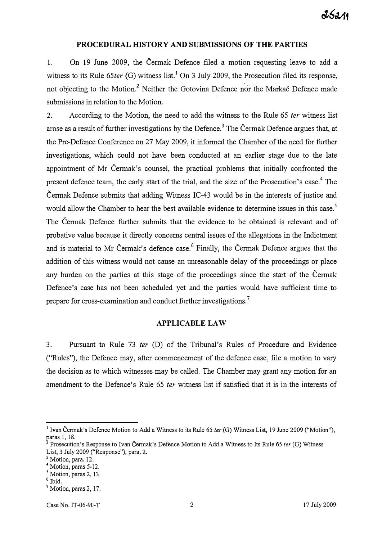#### PROCEDURAL HISTORY AND SUBMISSIONS OF THE PARTIES

1. On 19 June 2009, the Cermak Defence filed a motion requesting leave to add a witness to its Rule  $65$ ter (G) witness list.<sup>1</sup> On 3 July 2009, the Prosecution filed its response, not objecting to the Motion.<sup>2</sup> Neither the Gotovina Defence nor the Markac Defence made submissions in relation to the Motion.

2. According to the Motion, the need to add the witness to the Rule 65 ter witness list arose as a result of further investigations by the Defence.<sup>3</sup> The Cermak Defence argues that, at the Pre-Defence Conference on 27 May 2009, it informed the Chamber of the need for further investigations, which could not have been conducted at an earlier stage due to the late appointment of Mr Cermak's counsel, the practical problems that initially confronted the present defence team, the early start of the trial, and the size of the Prosecution's case.<sup>4</sup> The Cermak Defence submits that adding Witness IC-43 wouJd be in the interests of justice aud would allow the Chamber to hear the best available evidence to determine issues in this case.<sup>5</sup> The Cermak Defence further submits that the evidence to be obtained is relevant and of probative value because it directly concerns central issues of the allegations in the Indictment and is material to Mr Čermak's defence case.<sup>6</sup> Finally, the Čermak Defence argues that the addition of this witness would not cause an unreasonable delay of the proceedings or place any burden on the parties at this stage of the proceedings since the start of the Cermak Defence's case has not been scheduled yet and the parties would have sufficient time to prepare for cross-examination and conduct further investigations.<sup>7</sup>

### APPLICABLE LAW

3. Pursuant to Rule 73 ter (D) of the Tribunal's Rules of Procedure and Evidence ("Rules"), the Defence may, after commencement of the defence case, file a motion to vary the decision as to which witnesses may be called. The Chamber may grant any motion for an amendment to the Defence's Rule 65 ter witness list if satisfied that it is in the interests of

<sup>&</sup>lt;sup>1</sup> Ivan Čermak's Defence Motion to Add a Witness to its Rule 65 ter (G) Witness List, 19 June 2009 ("Motion"), paras 1, 18.

 $2^2$  Prosecution's Response to Ivan Cermak's Defence Motion to Add a Witness to Its Rule 65 ter (G) Witness List, 3 July 2009 ("Response"), para. 2.

<sup>&</sup>lt;sup>3</sup> Motion, para. 12.

<sup>4</sup> Motion, paras 5-12.

<sup>&</sup>lt;sup>5</sup> Motion, paras 2, 13.

 $^{\rm 6}$  Ibid.

<sup>&</sup>lt;sup>7</sup> Motion, paras 2, 17.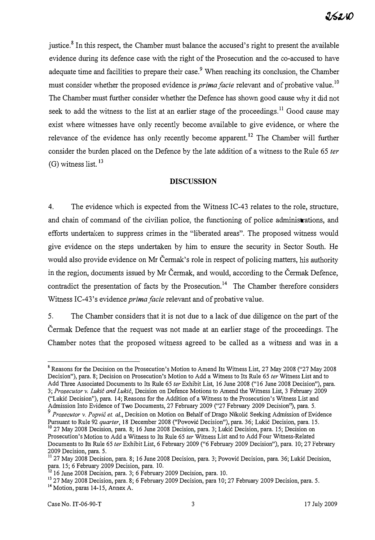justice.<sup>8</sup> In this respect, the Chamber must balance the accused's right to present the available evidence during its defence case with the right of the Prosecution and the co-accused to have adequate time and facilities to prepare their case.<sup>9</sup> When reaching its conclusion, the Chamber must consider whether the proposed evidence is *prima facie* relevant and of probative value.<sup>10</sup> The Chamber must further consider whether the Defence has shown good cause why it did not seek to add the witness to the list at an earlier stage of the proceedings.<sup>11</sup> Good cause may exist where witnesses have only recently become available to give evidence, or where the relevance of the evidence has only recently become apparent.<sup>12</sup> The Chamber will further consider the burden placed on the Defence by the late addition of a witness to the Rule 65 ter  $(G)$  witness list.  $^{13}$ 

### **DISCUSSION**

4. The evidence which is expected from the Witness IC-43 relates to the role, structure, and chain of command of the civilian police, the functioning of police administrations, and efforts undertaken to suppress crimes in the "liberated areas". The proposed witness would give evidence on the steps undertaken by him to ensure the security in Sector South. He would also provide evidence on Mr Čermak's role in respect of policing matters, his authority in the region, documents issued by Mr Cermak, and would, according to the Cermak Defence, contradict the presentation of facts by the Prosecution.<sup>14</sup> The Chamber therefore considers Witness IC-43's evidence *prima facie* relevant and of probative value.

5. The Chamber considers that it is not due to a lack of due diligence on the part of the Cermak Defence that the request was not made at an earlier stage of the proceedings. The Chamber notes that the proposed witness agreed to be called as a witness and was in a

<sup>&</sup>lt;sup>8</sup> Reasons for the Decision on the Prosecution's Motion to Amend Its Witness List, 27 May 2008 ("27 May 2008 Decision"), para. 8; Decision on Prosecution's Motion to Add a Witness to Its Rule 65 ter Witness List and to Add Three Associated Documents to Its Rule 65 ter Exhibit List, 16 June 2008 ("16 June 2008 Decision"), para. 3; Prosecutor v. Lukić and Lukić, Decision on Defence Motions to Amend the Witness List, 3 February 2009 ("Lukic Decision"), para. 14; Reasons for the Addition of a Witness to the Prosecution's Witness List and Admission Into Evidence of Two Documents, 27 February 2009 ("27 February 2009 Decision"), para. 5.

Prosecutor v. Popvić et. al., Decision on Motion on Behalf of Drago Nikolić Seeking Admission of Evidence Pursuant to Rule 92 *quarter*, 18 December 2008 ("Povović Decision"), para. 36; Lukić Decision, para. 15. <sup>10</sup> 27 May 2008 Decision, para. 8; 16 June 2008 Decision, para. 3; Lukic Decision, para. 15; Decision on Prosecution's Motion to Add a Witness to Its Rule 65 ter Witness List and to Add Four Witness-Related Documents to Its Rule 65 ter Exhibit List, 6 February 2009 ("6 February 2009 Decision"), para. 10; 27 February 2009 Decision, para. 5.

II 27 May 2008 Decision, para. 8; 16 June 2008 Decision, para. 3; Povovic Decision, para. 36; Lukic Decision, para. 15; 6 February 2009 Decision, para. 10.

<sup>1216</sup> June 2008 Decision, para. 3; 6 February 2009 Decision, para. 10.

<sup>&</sup>lt;sup>13</sup> 27 May 2008 Decision, para. 8; 6 February 2009 Decision, para 10; 27 February 2009 Decision, para. 5. <sup>14</sup> Motion, paras 14-15, Annex A.